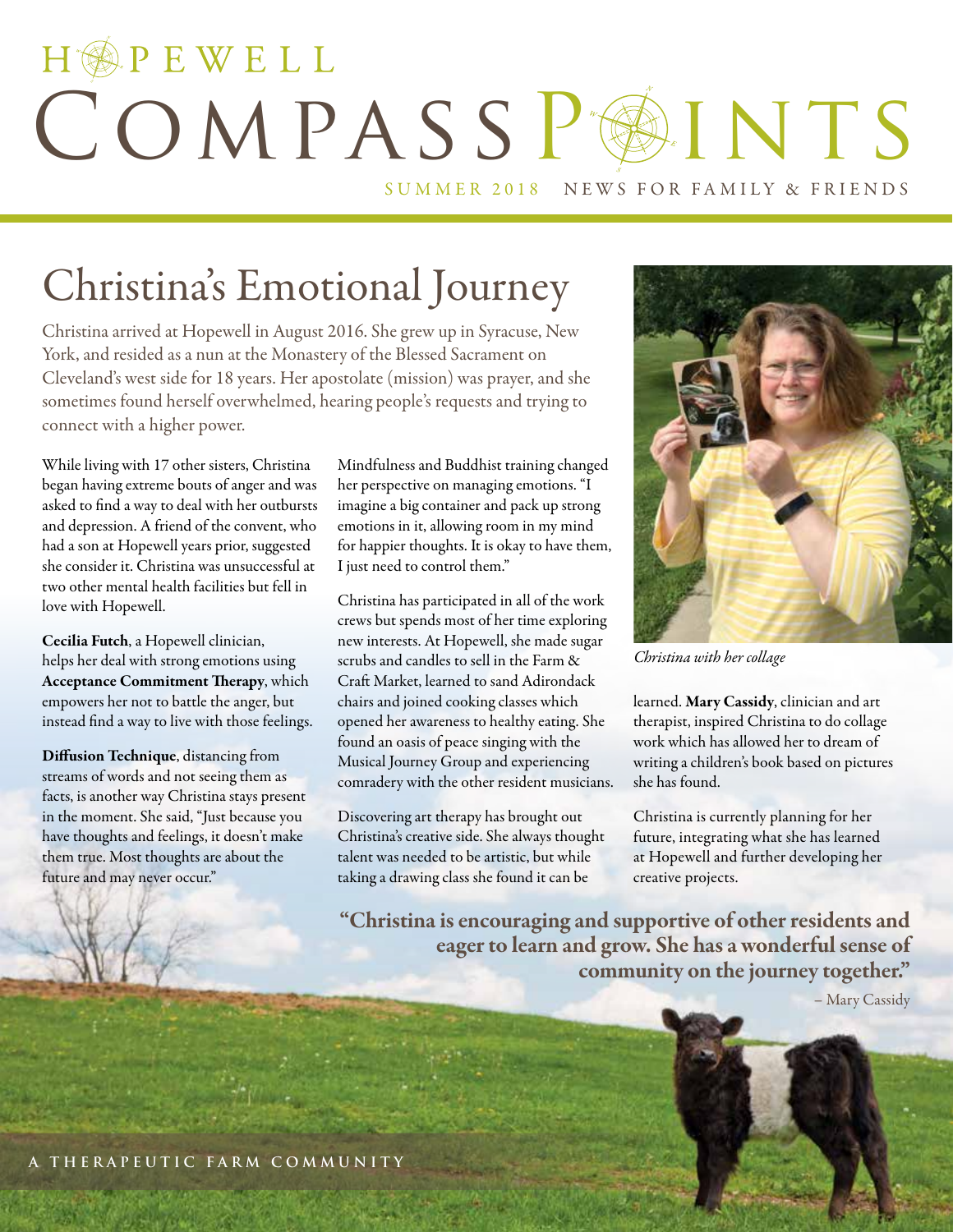# HOPEWELL COMPASSPAINTS SUMMER 2018 NEWS FOR FAMILY & FRIENDS

# Christina's Emotional Journey

Christina arrived at Hopewell in August 2016. She grew up in Syracuse, New York, and resided as a nun at the Monastery of the Blessed Sacrament on Cleveland's west side for 18 years. Her apostolate (mission) was prayer, and she sometimes found herself overwhelmed, hearing people's requests and trying to connect with a higher power.

While living with 17 other sisters, Christina began having extreme bouts of anger and was asked to find a way to deal with her outbursts and depression. A friend of the convent, who had a son at Hopewell years prior, suggested she consider it. Christina was unsuccessful at two other mental health facilities but fell in love with Hopewell.

Cecilia Futch, a Hopewell clinician, helps her deal with strong emotions using Acceptance Commitment Therapy, which empowers her not to battle the anger, but instead find a way to live with those feelings.

Diffusion Technique, distancing from streams of words and not seeing them as facts, is another way Christina stays present in the moment. She said, "Just because you have thoughts and feelings, it doesn't make them true. Most thoughts are about the future and may never occur."

Mindfulness and Buddhist training changed her perspective on managing emotions. "I imagine a big container and pack up strong emotions in it, allowing room in my mind for happier thoughts. It is okay to have them, I just need to control them."

Christina has participated in all of the work crews but spends most of her time exploring new interests. At Hopewell, she made sugar scrubs and candles to sell in the Farm & Craft Market, learned to sand Adirondack chairs and joined cooking classes which opened her awareness to healthy eating. She found an oasis of peace singing with the Musical Journey Group and experiencing comradery with the other resident musicians.

Discovering art therapy has brought out Christina's creative side. She always thought talent was needed to be artistic, but while taking a drawing class she found it can be



*Christina with her collage*

learned. Mary Cassidy, clinician and art therapist, inspired Christina to do collage work which has allowed her to dream of writing a children's book based on pictures she has found.

Christina is currently planning for her future, integrating what she has learned at Hopewell and further developing her creative projects.

"Christina is encouraging and supportive of other residents and eager to learn and grow. She has a wonderful sense of community on the journey together."

– Mary Cassidy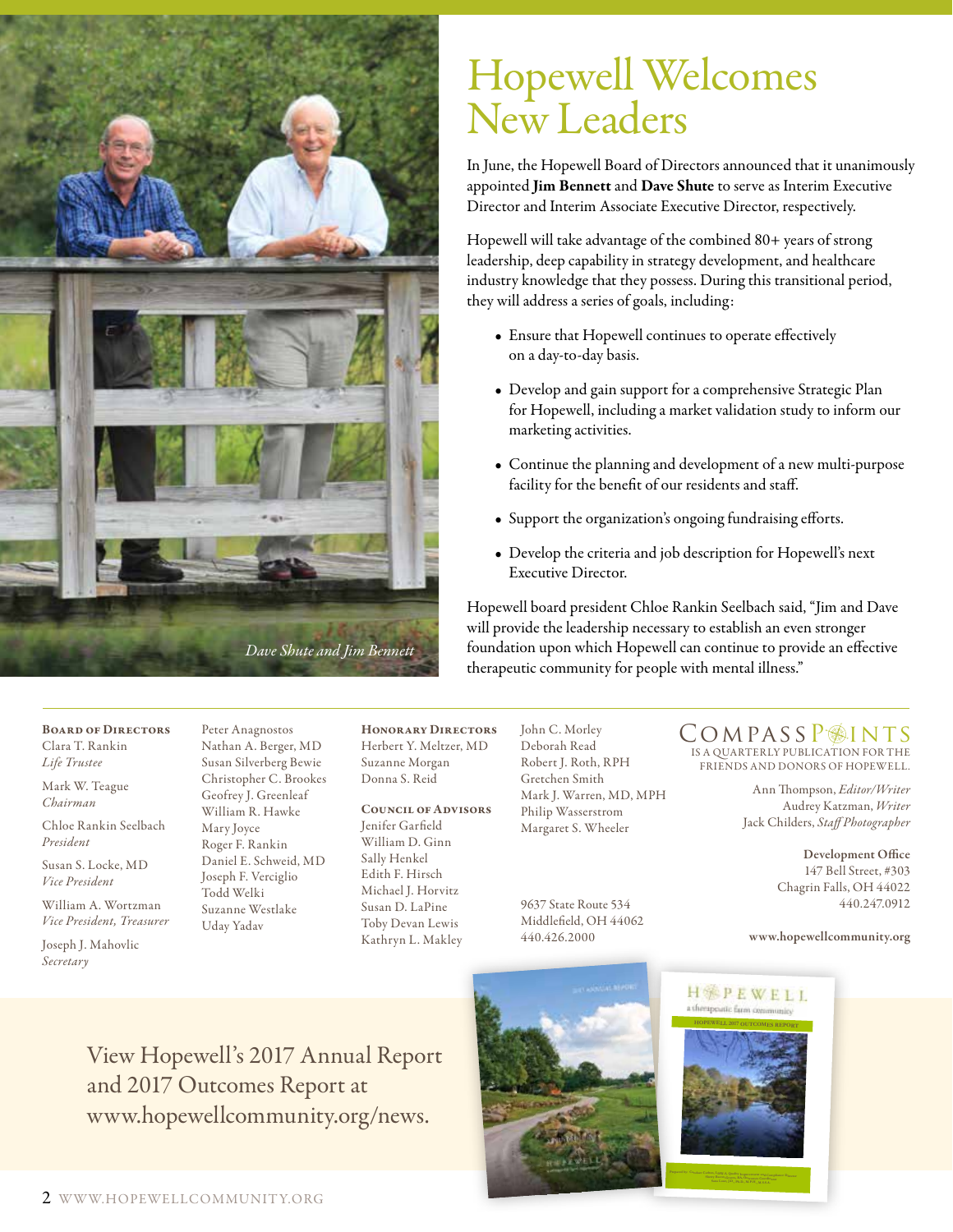

## Hopewell Welcomes New Leaders

In June, the Hopewell Board of Directors announced that it unanimously appointed Jim Bennett and Dave Shute to serve as Interim Executive Director and Interim Associate Executive Director, respectively.

Hopewell will take advantage of the combined 80+ years of strong leadership, deep capability in strategy development, and healthcare industry knowledge that they possess. During this transitional period, they will address a series of goals, including:

- Ensure that Hopewell continues to operate effectively on a day-to-day basis.
- Develop and gain support for a comprehensive Strategic Plan for Hopewell, including a market validation study to inform our marketing activities.
- Continue the planning and development of a new multi-purpose facility for the benefit of our residents and staff.
- Support the organization's ongoing fundraising efforts.
- Develop the criteria and job description for Hopewell's next Executive Director.

Hopewell board president Chloe Rankin Seelbach said, "Jim and Dave will provide the leadership necessary to establish an even stronger foundation upon which Hopewell can continue to provide an effective therapeutic community for people with mental illness."

Board of Directors Clara T. Rankin *Life Trustee*

Mark W. Teague *Chairman*

Chloe Rankin Seelbach *President*

Susan S. Locke, MD *Vice President*

William A. Wortzman *Vice President, Treasurer*

Joseph J. Mahovlic *Secretary*

Peter Anagnostos Nathan A. Berger, MD Susan Silverberg Bewie Christopher C. Brookes Geofrey J. Greenleaf William R. Hawke Mary Joyce Roger F. Rankin Daniel E. Schweid, MD Joseph F. Verciglio Todd Welki Suzanne Westlake Uday Yadav

Honorary Directors Herbert Y. Meltzer, MD Suzanne Morgan Donna S. Reid

#### Council of Advisors

Jenifer Garfield William D. Ginn Sally Henkel Edith F. Hirsch Michael J. Horvitz Susan D. LaPine Toby Devan Lewis Kathryn L. Makley John C. Morley Deborah Read Robert J. Roth, RPH Gretchen Smith Mark J. Warren, MD, MPH Philip Wasserstrom Margaret S. Wheeler

9637 State Route 534 Middlefield, OH 44062 440.426.2000

IS A QUARTERLY PUBLICATION FOR THE COMPASSP<sup>INTS</sup>

Ann Thompson, *Editor/Writer* FRIENDS AND DONORS OF HOPEWELL.

Audrey Katzman, *Writer*  Jack Childers, *Staff Photographer*

> Development Office 147 Bell Street, #303 Chagrin Falls, OH 44022 440.247.0912

www.hopewellcommunity.org

View Hopewell's 2017 Annual Report and 2017 Outcomes Report at www.hopewellcommunity.org/news.



HEPEWELL utic farm commun



**Sana Loue, J.D., Ph.D., M.P.H., M.S.S.A.**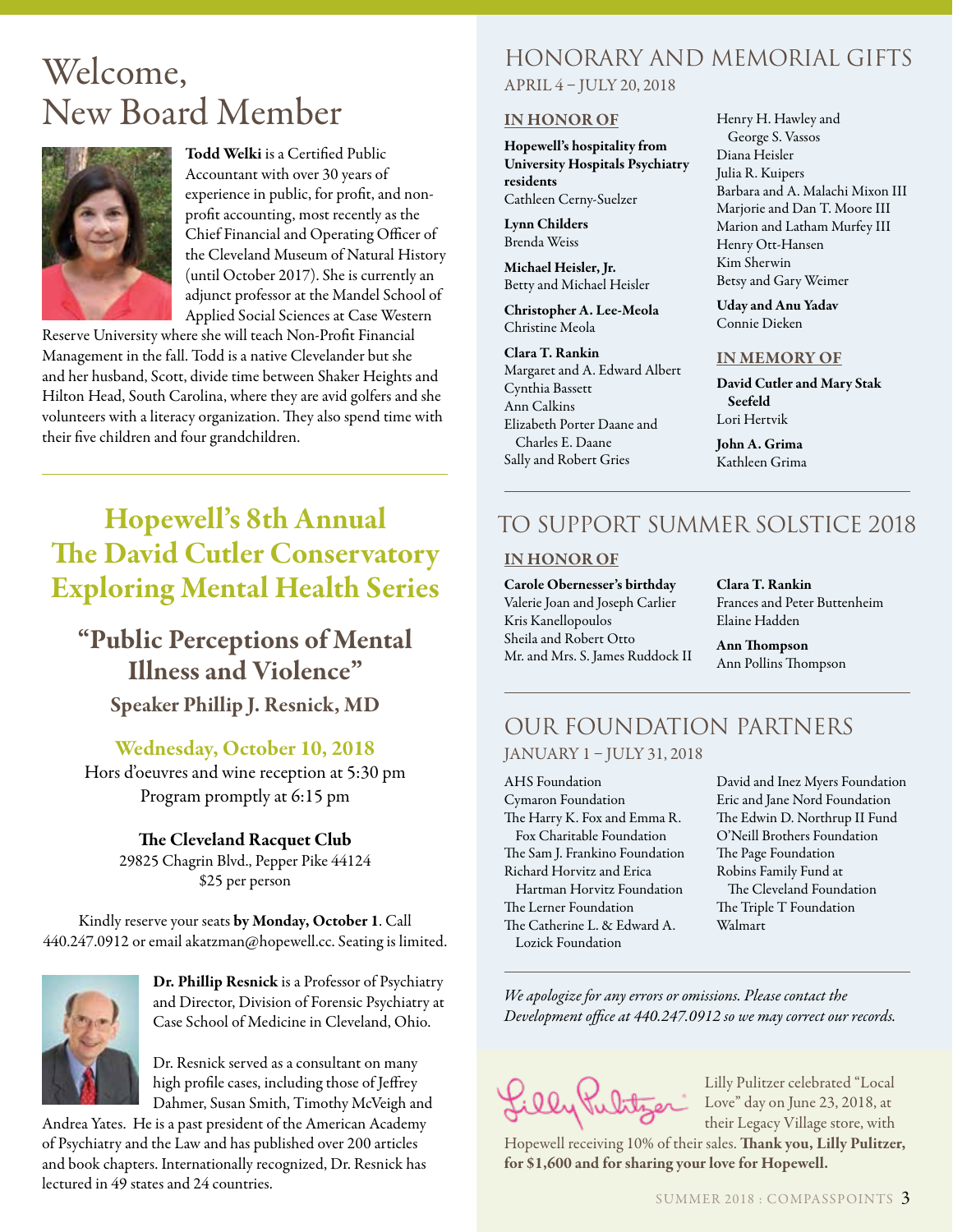### Welcome, New Board Member



Todd Welki is a Certified Public Accountant with over 30 years of experience in public, for profit, and nonprofit accounting, most recently as the Chief Financial and Operating Officer of the Cleveland Museum of Natural History (until October 2017). She is currently an adjunct professor at the Mandel School of Applied Social Sciences at Case Western

Reserve University where she will teach Non-Profit Financial Management in the fall. Todd is a native Clevelander but she and her husband, Scott, divide time between Shaker Heights and Hilton Head, South Carolina, where they are avid golfers and she volunteers with a literacy organization. They also spend time with their five children and four grandchildren.

### Hopewell's 8th Annual The David Cutler Conservatory Exploring Mental Health Series

### "Public Perceptions of Mental Illness and Violence"

Speaker Phillip J. Resnick, MD

#### Wednesday, October 10, 2018

Hors d'oeuvres and wine reception at 5:30 pm Program promptly at 6:15 pm

> The Cleveland Racquet Club 29825 Chagrin Blvd., Pepper Pike 44124 \$25 per person

Kindly reserve your seats by Monday, October 1. Call 440.247.0912 or email akatzman@hopewell.cc. Seating is limited.



Dr. Phillip Resnick is a Professor of Psychiatry and Director, Division of Forensic Psychiatry at Case School of Medicine in Cleveland, Ohio.

Dr. Resnick served as a consultant on many high profile cases, including those of Jeffrey Dahmer, Susan Smith, Timothy McVeigh and

Andrea Yates. He is a past president of the American Academy of Psychiatry and the Law and has published over 200 articles and book chapters. Internationally recognized, Dr. Resnick has lectured in 49 states and 24 countries.

### Honorary and Memorial Gifts

APRIL 4 – JULY 20, 2018

#### IN HONOR OF

Hopewell's hospitality from University Hospitals Psychiatry residents Cathleen Cerny-Suelzer

Lynn Childers Brenda Weiss

Michael Heisler, Jr. Betty and Michael Heisler

Christopher A. Lee-Meola Christine Meola

Clara T. Rankin Margaret and A. Edward Albert Cynthia Bassett Ann Calkins Elizabeth Porter Daane and Charles E. Daane Sally and Robert Gries

Henry H. Hawley and George S. Vassos Diana Heisler Julia R. Kuipers Barbara and A. Malachi Mixon III Marjorie and Dan T. Moore III Marion and Latham Murfey III Henry Ott-Hansen Kim Sherwin Betsy and Gary Weimer

Uday and Anu Yadav Connie Dieken

#### IN MEMORY OF

David Cutler and Mary Stak Seefeld Lori Hertvik

John A. Grima Kathleen Grima

### TO SUPPORT SUMMER SOLSTICE 2018

#### IN HONOR OF

Carole Obernesser's birthday Valerie Joan and Joseph Carlier Kris Kanellopoulos Sheila and Robert Otto Mr. and Mrs. S. James Ruddock II Clara T. Rankin Frances and Peter Buttenheim Elaine Hadden

Ann Thompson Ann Pollins Thompson

### OUR FOUNDATION PARTNERS JANUARY 1 – JULY 31, 2018

AHS Foundation Cymaron Foundation The Harry K. Fox and Emma R. Fox Charitable Foundation The Sam J. Frankino Foundation Richard Horvitz and Erica Hartman Horvitz Foundation The Lerner Foundation The Catherine L. & Edward A. Lozick Foundation

David and Inez Myers Foundation Eric and Jane Nord Foundation The Edwin D. Northrup II Fund O'Neill Brothers Foundation The Page Foundation Robins Family Fund at The Cleveland Foundation

The Triple T Foundation Walmart

*We apologize for any errors or omissions. Please contact the Development office at 440.247.0912 so we may correct our records.*

Lilly Pulitzer celebrated "Local Love" day on June 23, 2018, at their Legacy Village store, with

Hopewell receiving 10% of their sales. Thank you, Lilly Pulitzer, for \$1,600 and for sharing your love for Hopewell.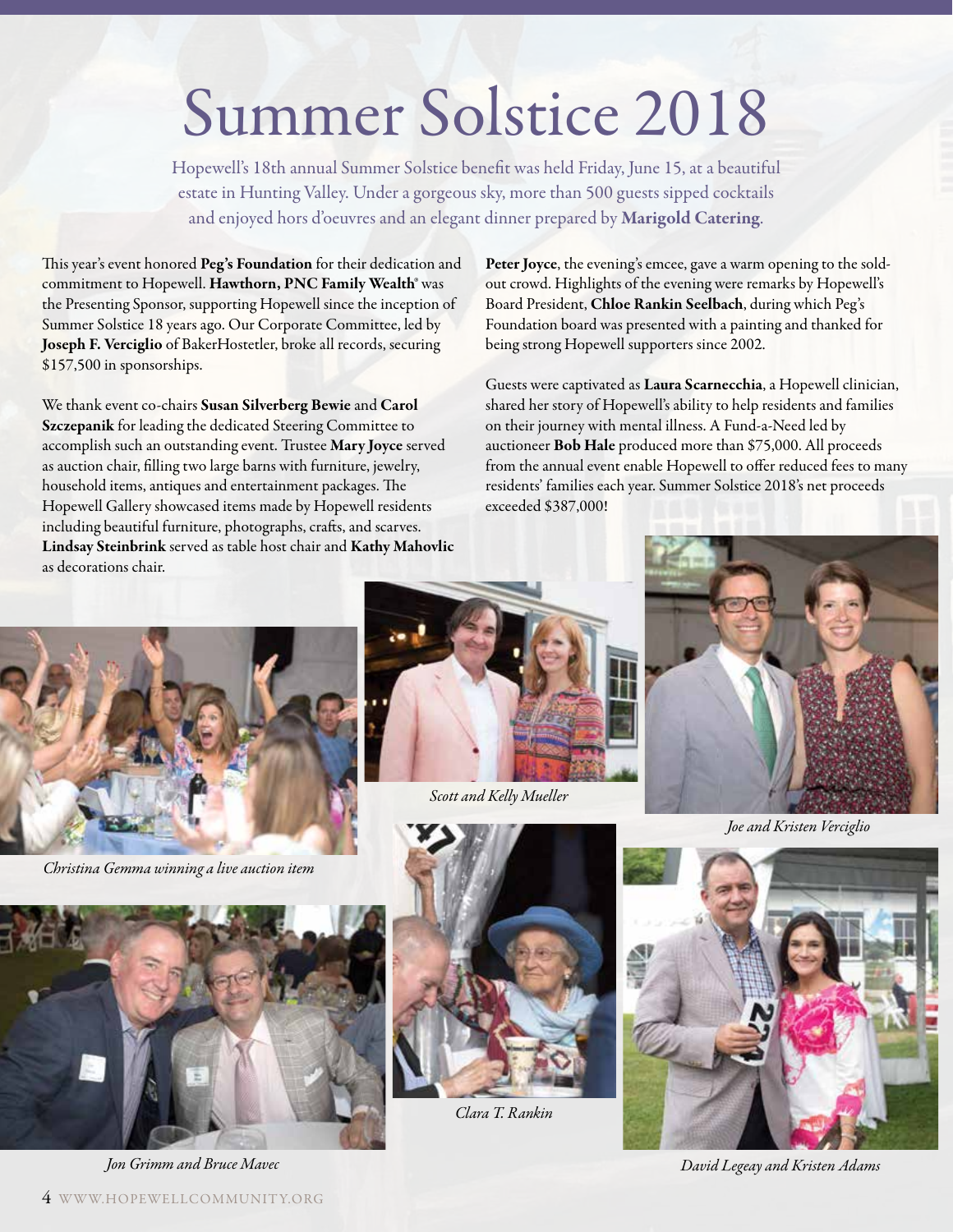# Summer Solstice 2018

Hopewell's 18th annual Summer Solstice benefit was held Friday, June 15, at a beautiful estate in Hunting Valley. Under a gorgeous sky, more than 500 guests sipped cocktails and enjoyed hors d'oeuvres and an elegant dinner prepared by Marigold Catering.

This year's event honored Peg's Foundation for their dedication and commitment to Hopewell. Hawthorn, PNC Family Wealth® was the Presenting Sponsor, supporting Hopewell since the inception of Summer Solstice 18 years ago. Our Corporate Committee, led by Joseph F. Verciglio of BakerHostetler, broke all records, securing \$157,500 in sponsorships.

We thank event co-chairs Susan Silverberg Bewie and Carol Szczepanik for leading the dedicated Steering Committee to accomplish such an outstanding event. Trustee Mary Joyce served as auction chair, filling two large barns with furniture, jewelry, household items, antiques and entertainment packages. The Hopewell Gallery showcased items made by Hopewell residents including beautiful furniture, photographs, crafts, and scarves. Lindsay Steinbrink served as table host chair and Kathy Mahovlic as decorations chair.

Peter Joyce, the evening's emcee, gave a warm opening to the soldout crowd. Highlights of the evening were remarks by Hopewell's Board President, Chloe Rankin Seelbach, during which Peg's Foundation board was presented with a painting and thanked for being strong Hopewell supporters since 2002.

Guests were captivated as Laura Scarnecchia, a Hopewell clinician, shared her story of Hopewell's ability to help residents and families on their journey with mental illness. A Fund-a-Need led by auctioneer Bob Hale produced more than \$75,000. All proceeds from the annual event enable Hopewell to offer reduced fees to many residents' families each year. Summer Solstice 2018's net proceeds exceeded \$387,000!



*Christina Gemma winning a live auction item*





*Scott and Kelly Mueller*







*Clara T. Rankin*



*Jon Grimm and Bruce Mavec David Legeay and Kristen Adams*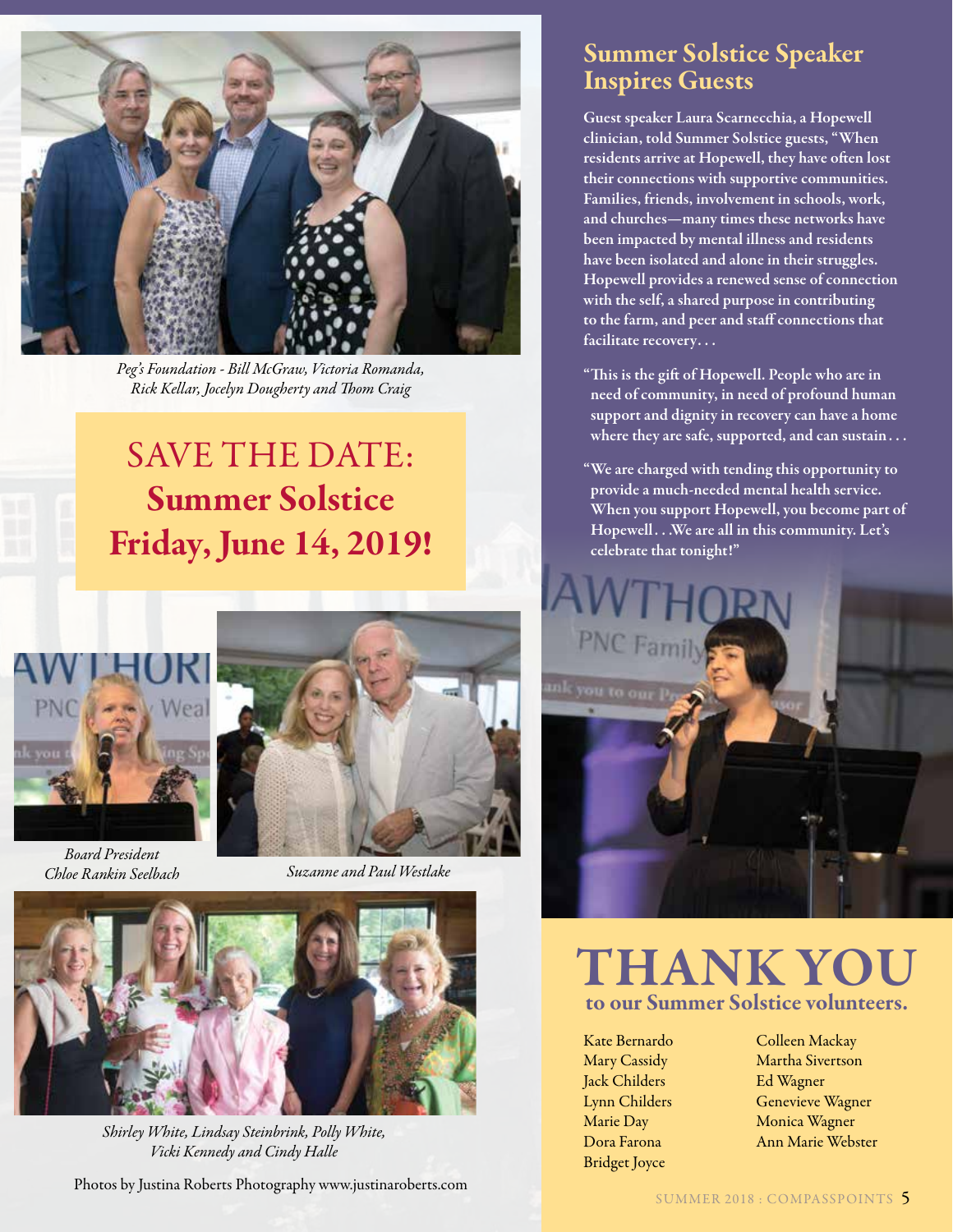

*Peg's Foundation - Bill McGraw, Victoria Romanda, Rick Kellar, Jocelyn Dougherty and Thom Craig*

### SAVE THE DATE: Summer Solstice Friday, June 14, 2019!



*Board President* 



*Chloe Rankin Seelbach Suzanne and Paul Westlake*



*Shirley White, Lindsay Steinbrink, Polly White, Vicki Kennedy and Cindy Halle*

Photos by Justina Roberts Photography www.justinaroberts.com SUMMER 2018 : COMPASSPOINTS 5

### Summer Solstice Speaker Inspires Guests

Guest speaker Laura Scarnecchia, a Hopewell clinician, told Summer Solstice guests, "When residents arrive at Hopewell, they have often lost their connections with supportive communities. Families, friends, involvement in schools, work, and churches—many times these networks have been impacted by mental illness and residents have been isolated and alone in their struggles. Hopewell provides a renewed sense of connection with the self, a shared purpose in contributing to the farm, and peer and staff connections that facilitate recovery. . .

- "This is the gift of Hopewell. People who are in need of community, in need of profound human support and dignity in recovery can have a home where they are safe, supported, and can sustain...
- "We are charged with tending this opportunity to provide a much-needed mental health service. When you support Hopewell, you become part of Hopewell . . .We are all in this community. Let's celebrate that tonight!"



### THANK YOU to our Summer Solstice volunteers.

Kate Bernardo Mary Cassidy Jack Childers Lynn Childers Marie Day Dora Farona Bridget Joyce

Colleen Mackay Martha Sivertson Ed Wagner Genevieve Wagner Monica Wagner Ann Marie Webster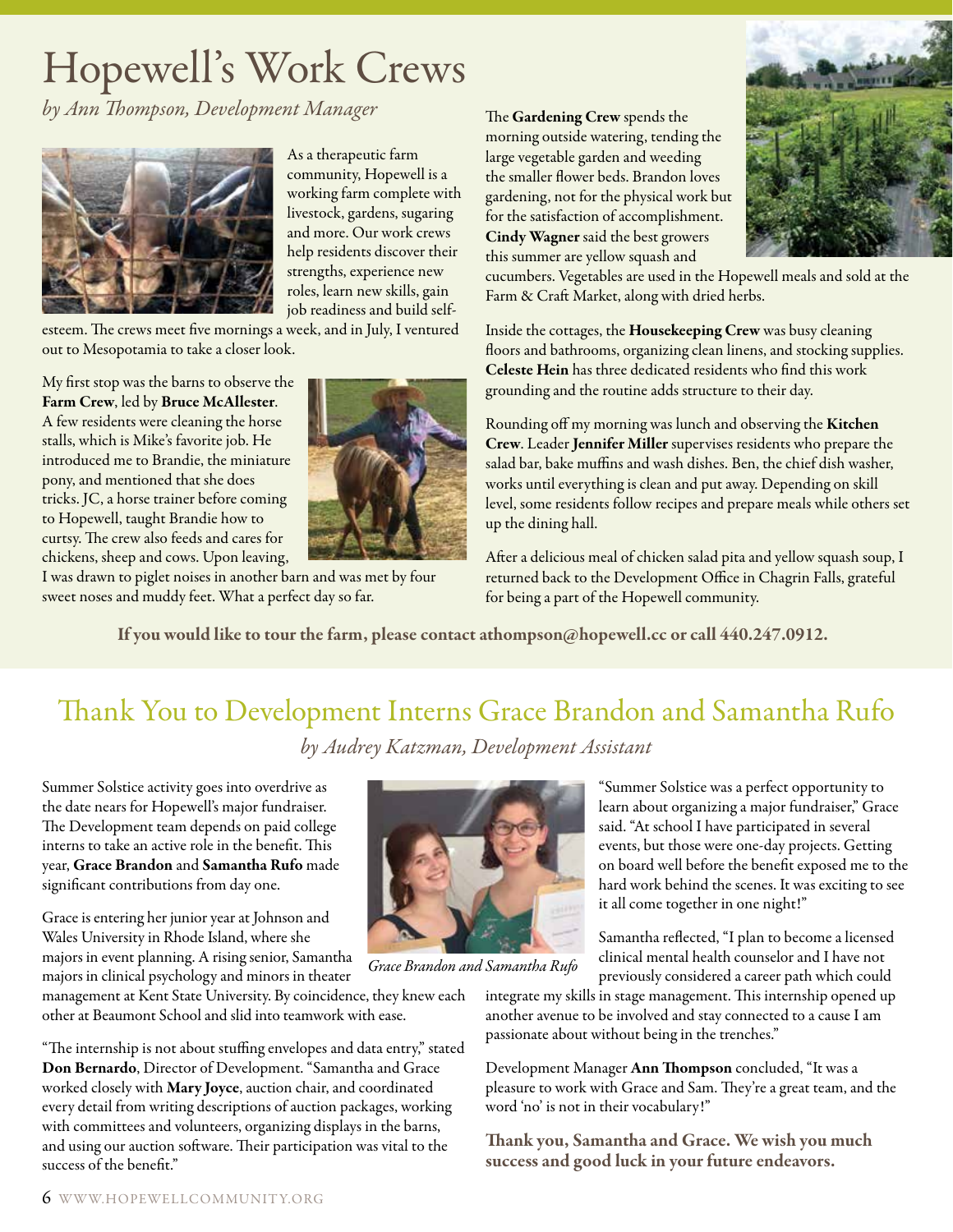# Hopewell's Work Crews

*by Ann Thompson, Development Manager*



As a therapeutic farm community, Hopewell is a working farm complete with livestock, gardens, sugaring and more. Our work crews help residents discover their strengths, experience new roles, learn new skills, gain job readiness and build self-

esteem. The crews meet five mornings a week, and in July, I ventured out to Mesopotamia to take a closer look.

My first stop was the barns to observe the Farm Crew, led by Bruce McAllester. A few residents were cleaning the horse stalls, which is Mike's favorite job. He introduced me to Brandie, the miniature pony, and mentioned that she does tricks. JC, a horse trainer before coming to Hopewell, taught Brandie how to curtsy. The crew also feeds and cares for chickens, sheep and cows. Upon leaving,



I was drawn to piglet noises in another barn and was met by four sweet noses and muddy feet. What a perfect day so far.

The Gardening Crew spends the morning outside watering, tending the large vegetable garden and weeding the smaller flower beds. Brandon loves gardening, not for the physical work but for the satisfaction of accomplishment. Cindy Wagner said the best growers this summer are yellow squash and



cucumbers. Vegetables are used in the Hopewell meals and sold at the Farm & Craft Market, along with dried herbs.

Inside the cottages, the Housekeeping Crew was busy cleaning floors and bathrooms, organizing clean linens, and stocking supplies. Celeste Hein has three dedicated residents who find this work grounding and the routine adds structure to their day.

Rounding off my morning was lunch and observing the Kitchen Crew. Leader Jennifer Miller supervises residents who prepare the salad bar, bake muffins and wash dishes. Ben, the chief dish washer, works until everything is clean and put away. Depending on skill level, some residents follow recipes and prepare meals while others set up the dining hall.

After a delicious meal of chicken salad pita and yellow squash soup, I returned back to the Development Office in Chagrin Falls, grateful for being a part of the Hopewell community.

If you would like to tour the farm, please contact athompson@hopewell.cc or call 440.247.0912.

### Thank You to Development Interns Grace Brandon and Samantha Rufo *by Audrey Katzman, Development Assistant*

Summer Solstice activity goes into overdrive as the date nears for Hopewell's major fundraiser. The Development team depends on paid college interns to take an active role in the benefit. This year, Grace Brandon and Samantha Rufo made significant contributions from day one.

Grace is entering her junior year at Johnson and Wales University in Rhode Island, where she majors in event planning. A rising senior, Samantha majors in clinical psychology and minors in theater

management at Kent State University. By coincidence, they knew each other at Beaumont School and slid into teamwork with ease.

"The internship is not about stuffing envelopes and data entry," stated Don Bernardo, Director of Development. "Samantha and Grace worked closely with Mary Joyce, auction chair, and coordinated every detail from writing descriptions of auction packages, working with committees and volunteers, organizing displays in the barns, and using our auction software. Their participation was vital to the success of the benefit."



*Grace Brandon and Samantha Rufo*

"Summer Solstice was a perfect opportunity to learn about organizing a major fundraiser," Grace said. "At school I have participated in several events, but those were one-day projects. Getting on board well before the benefit exposed me to the hard work behind the scenes. It was exciting to see it all come together in one night!"

Samantha reflected, "I plan to become a licensed clinical mental health counselor and I have not previously considered a career path which could

integrate my skills in stage management. This internship opened up another avenue to be involved and stay connected to a cause I am passionate about without being in the trenches."

Development Manager Ann Thompson concluded, "It was a pleasure to work with Grace and Sam. They're a great team, and the word 'no' is not in their vocabulary!"

Thank you, Samantha and Grace. We wish you much success and good luck in your future endeavors.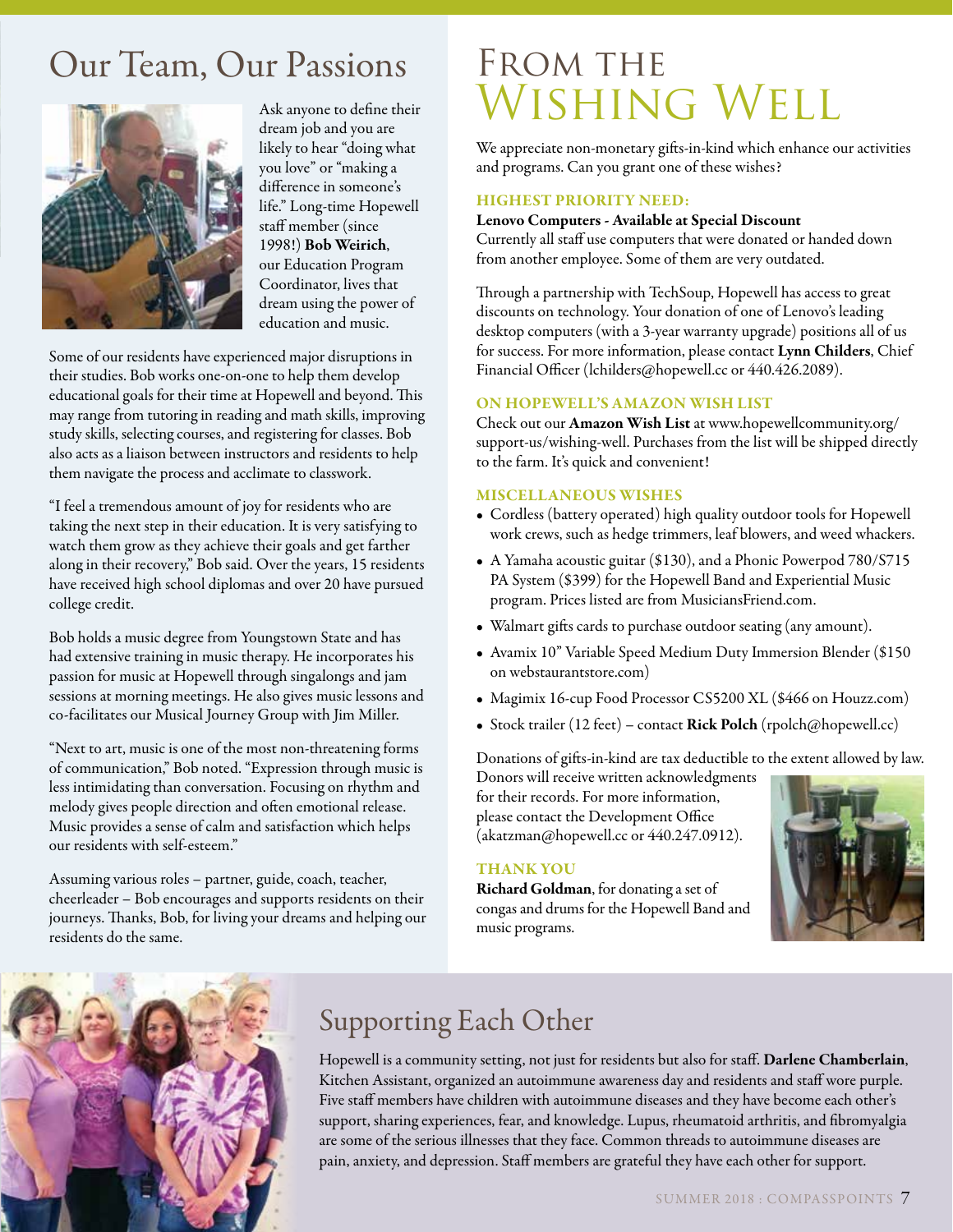### Our Team, Our Passions



Ask anyone to define their dream job and you are likely to hear "doing what you love" or "making a difference in someone's life." Long-time Hopewell staff member (since 1998!) Bob Weirich, our Education Program Coordinator, lives that dream using the power of education and music.

Some of our residents have experienced major disruptions in their studies. Bob works one-on-one to help them develop educational goals for their time at Hopewell and beyond. This may range from tutoring in reading and math skills, improving study skills, selecting courses, and registering for classes. Bob also acts as a liaison between instructors and residents to help them navigate the process and acclimate to classwork.

"I feel a tremendous amount of joy for residents who are taking the next step in their education. It is very satisfying to watch them grow as they achieve their goals and get farther along in their recovery," Bob said. Over the years, 15 residents have received high school diplomas and over 20 have pursued college credit.

Bob holds a music degree from Youngstown State and has had extensive training in music therapy. He incorporates his passion for music at Hopewell through singalongs and jam sessions at morning meetings. He also gives music lessons and co-facilitates our Musical Journey Group with Jim Miller.

"Next to art, music is one of the most non-threatening forms of communication," Bob noted. "Expression through music is less intimidating than conversation. Focusing on rhythm and melody gives people direction and often emotional release. Music provides a sense of calm and satisfaction which helps our residents with self-esteem."

Assuming various roles – partner, guide, coach, teacher, cheerleader – Bob encourages and supports residents on their journeys. Thanks, Bob, for living your dreams and helping our residents do the same.

### FROM THE WISHING WELL

We appreciate non-monetary gifts-in-kind which enhance our activities and programs. Can you grant one of these wishes?

#### HIGHEST PRIORITY NEED:

#### Lenovo Computers - Available at Special Discount

Currently all staff use computers that were donated or handed down from another employee. Some of them are very outdated.

Through a partnership with TechSoup, Hopewell has access to great discounts on technology. Your donation of one of Lenovo's leading desktop computers (with a 3-year warranty upgrade) positions all of us for success. For more information, please contact Lynn Childers, Chief Financial Officer (lchilders@hopewell.cc or 440.426.2089).

#### ON HOPEWELL'S AMAZON WISH LIST

Check out our Amazon Wish List at www.hopewellcommunity.org/ support-us/wishing-well. Purchases from the list will be shipped directly to the farm. It's quick and convenient!

#### MISCELLANEOUS WISHES

- Cordless (battery operated) high quality outdoor tools for Hopewell work crews, such as hedge trimmers, leaf blowers, and weed whackers.
- A Yamaha acoustic guitar (\$130), and a Phonic Powerpod 780/S715 PA System (\$399) for the Hopewell Band and Experiential Music program. Prices listed are from MusiciansFriend.com.
- Walmart gifts cards to purchase outdoor seating (any amount).
- Avamix 10" Variable Speed Medium Duty Immersion Blender (\$150 on webstaurantstore.com)
- Magimix 16-cup Food Processor CS5200 XL (\$466 on Houzz.com)
- Stock trailer (12 feet) contact Rick Polch (rpolch@hopewell.cc)

Donations of gifts-in-kind are tax deductible to the extent allowed by law.

Donors will receive written acknowledgments for their records. For more information, please contact the Development Office (akatzman@hopewell.cc or 440.247.0912).

#### THANK YOU

Richard Goldman, for donating a set of congas and drums for the Hopewell Band and music programs.





### Supporting Each Other

Hopewell is a community setting, not just for residents but also for staff. Darlene Chamberlain, Kitchen Assistant, organized an autoimmune awareness day and residents and staff wore purple. Five staff members have children with autoimmune diseases and they have become each other's support, sharing experiences, fear, and knowledge. Lupus, rheumatoid arthritis, and fibromyalgia are some of the serious illnesses that they face. Common threads to autoimmune diseases are pain, anxiety, and depression. Staff members are grateful they have each other for support.